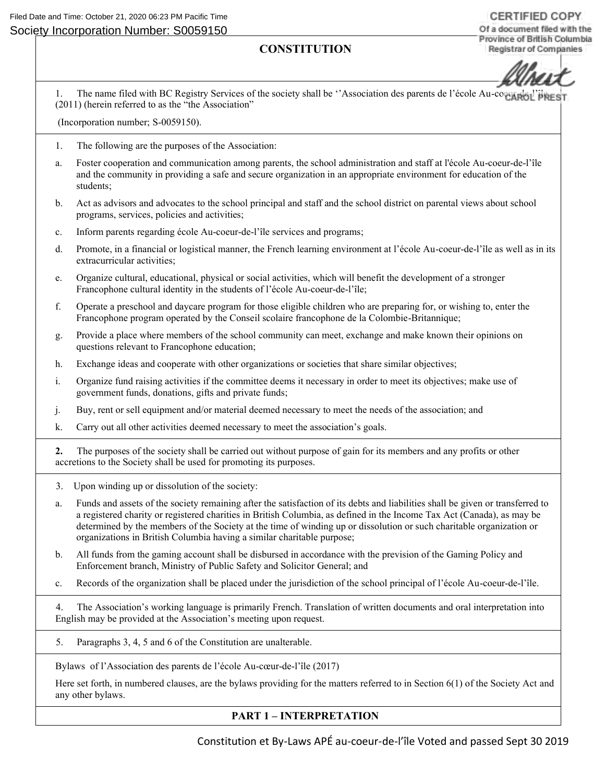# **CONSTITUTION**

**CERTIFIED COPY** Of a document filed with the Province of British Columbia **Registrar of Companies** 

1. The name filed with BC Registry Services of the society shall be 'Association des parents de l'école Au-coeur-(2011) (herein referred to as the "the Association"

(Incorporation number; S-0059150).

- 1. The following are the purposes of the Association:
- a. Foster cooperation and communication among parents, the school administration and staff at l'école Au-coeur-de-l'île and the community in providing a safe and secure organization in an appropriate environment for education of the students;
- b. Act as advisors and advocates to the school principal and staff and the school district on parental views about school programs, services, policies and activities;
- c. Inform parents regarding école Au-coeur-de-l'île services and programs;
- d. Promote, in a financial or logistical manner, the French learning environment at l'école Au-coeur-de-l'île as well as in its extracurricular activities;
- e. Organize cultural, educational, physical or social activities, which will benefit the development of a stronger Francophone cultural identity in the students of l'école Au-coeur-de-l'île;
- f. Operate a preschool and daycare program for those eligible children who are preparing for, or wishing to, enter the Francophone program operated by the Conseil scolaire francophone de la Colombie-Britannique;
- g. Provide a place where members of the school community can meet, exchange and make known their opinions on questions relevant to Francophone education;
- h. Exchange ideas and cooperate with other organizations or societies that share similar objectives;
- i. Organize fund raising activities if the committee deems it necessary in order to meet its objectives; make use of government funds, donations, gifts and private funds;
- j. Buy, rent or sell equipment and/or material deemed necessary to meet the needs of the association; and
- k. Carry out all other activities deemed necessary to meet the association's goals.

**2.** The purposes of the society shall be carried out without purpose of gain for its members and any profits or other accretions to the Society shall be used for promoting its purposes.

- 3. Upon winding up or dissolution of the society:
- a. Funds and assets of the society remaining after the satisfaction of its debts and liabilities shall be given or transferred to a registered charity or registered charities in British Columbia, as defined in the Income Tax Act (Canada), as may be determined by the members of the Society at the time of winding up or dissolution or such charitable organization or organizations in British Columbia having a similar charitable purpose;
- b. All funds from the gaming account shall be disbursed in accordance with the prevision of the Gaming Policy and Enforcement branch, Ministry of Public Safety and Solicitor General; and
- c. Records of the organization shall be placed under the jurisdiction of the school principal of l'école Au-coeur-de-l'île.

4. The Association's working language is primarily French. Translation of written documents and oral interpretation into English may be provided at the Association's meeting upon request.

5. Paragraphs 3, 4, 5 and 6 of the Constitution are unalterable.

Bylaws of l'Association des parents de l'école Au-cœur-de-l'île (2017)

Here set forth, in numbered clauses, are the bylaws providing for the matters referred to in Section 6(1) of the Society Act and any other bylaws.

# **PART 1 – INTERPRETATION**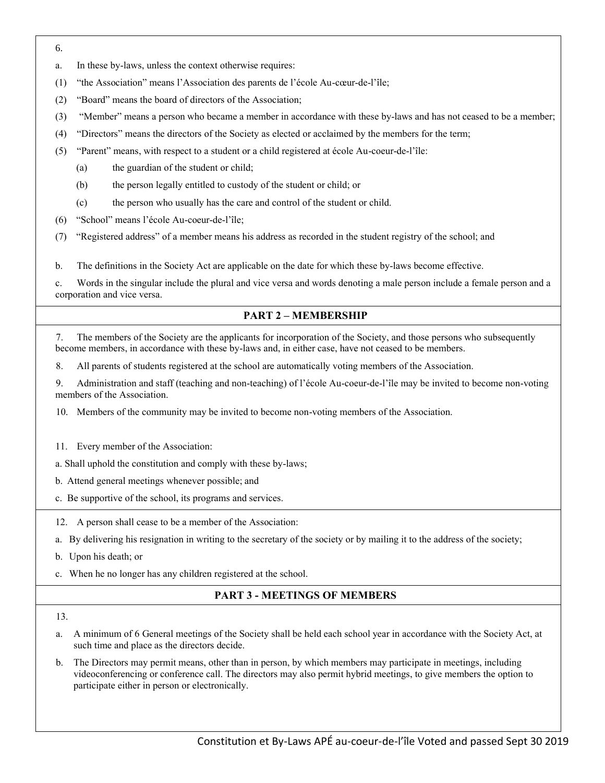- 6.
- a. In these by-laws, unless the context otherwise requires:
- (1) "the Association" means l'Association des parents de l'école Au-cœur-de-l'île;
- (2) "Board" means the board of directors of the Association;
- (3) "Member" means a person who became a member in accordance with these by-laws and has not ceased to be a member;
- (4) "Directors" means the directors of the Society as elected or acclaimed by the members for the term;
- (5) "Parent" means, with respect to a student or a child registered at école Au-coeur-de-l'île:
	- (a) the guardian of the student or child;
	- (b) the person legally entitled to custody of the student or child; or
	- (c) the person who usually has the care and control of the student or child.
- (6) "School" means l'école Au-coeur-de-l'île;
- (7) "Registered address" of a member means his address as recorded in the student registry of the school; and

b. The definitions in the Society Act are applicable on the date for which these by-laws become effective.

c. Words in the singular include the plural and vice versa and words denoting a male person include a female person and a corporation and vice versa.

### **PART 2 – MEMBERSHIP**

7. The members of the Society are the applicants for incorporation of the Society, and those persons who subsequently become members, in accordance with these by-laws and, in either case, have not ceased to be members.

8. All parents of students registered at the school are automatically voting members of the Association.

9. Administration and staff (teaching and non-teaching) of l'école Au-coeur-de-l'île may be invited to become non-voting members of the Association.

10. Members of the community may be invited to become non-voting members of the Association.

11. Every member of the Association:

a. Shall uphold the constitution and comply with these by-laws;

b. Attend general meetings whenever possible; and

c. Be supportive of the school, its programs and services.

12. A person shall cease to be a member of the Association:

- a. By delivering his resignation in writing to the secretary of the society or by mailing it to the address of the society;
- b. Upon his death; or
- c. When he no longer has any children registered at the school.

# **PART 3 - MEETINGS OF MEMBERS**

- a. A minimum of 6 General meetings of the Society shall be held each school year in accordance with the Society Act, at such time and place as the directors decide.
- b. The Directors may permit means, other than in person, by which members may participate in meetings, including videoconferencing or conference call. The directors may also permit hybrid meetings, to give members the option to participate either in person or electronically.

<sup>13.</sup>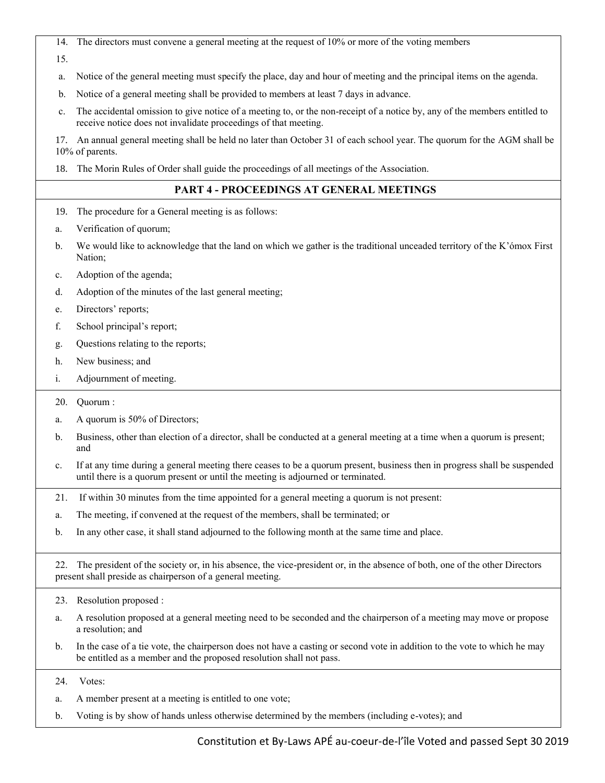14. The directors must convene a general meeting at the request of 10% or more of the voting members

15.

- a. Notice of the general meeting must specify the place, day and hour of meeting and the principal items on the agenda.
- b. Notice of a general meeting shall be provided to members at least 7 days in advance.
- c. The accidental omission to give notice of a meeting to, or the non-receipt of a notice by, any of the members entitled to receive notice does not invalidate proceedings of that meeting.

17. An annual general meeting shall be held no later than October 31 of each school year. The quorum for the AGM shall be 10% of parents.

18. The Morin Rules of Order shall guide the proceedings of all meetings of the Association.

# **PART 4 - PROCEEDINGS AT GENERAL MEETINGS**

- 19. The procedure for a General meeting is as follows:
- a. Verification of quorum;
- b. We would like to acknowledge that the land on which we gather is the traditional unceaded territory of the K'ómox First Nation;
- c. Adoption of the agenda;
- d. Adoption of the minutes of the last general meeting;
- e. Directors' reports;
- f. School principal's report;
- g. Questions relating to the reports;
- h. New business; and
- i. Adjournment of meeting.
- 20. Quorum :
- a. A quorum is 50% of Directors;
- b. Business, other than election of a director, shall be conducted at a general meeting at a time when a quorum is present; and
- c. If at any time during a general meeting there ceases to be a quorum present, business then in progress shall be suspended until there is a quorum present or until the meeting is adjourned or terminated.
- 21. If within 30 minutes from the time appointed for a general meeting a quorum is not present:
- a. The meeting, if convened at the request of the members, shall be terminated; or
- b. In any other case, it shall stand adjourned to the following month at the same time and place.

22. The president of the society or, in his absence, the vice-president or, in the absence of both, one of the other Directors present shall preside as chairperson of a general meeting.

- 23. Resolution proposed :
- a. A resolution proposed at a general meeting need to be seconded and the chairperson of a meeting may move or propose a resolution; and
- b. In the case of a tie vote, the chairperson does not have a casting or second vote in addition to the vote to which he may be entitled as a member and the proposed resolution shall not pass.

24. Votes:

- a. A member present at a meeting is entitled to one vote;
- b. Voting is by show of hands unless otherwise determined by the members (including e-votes); and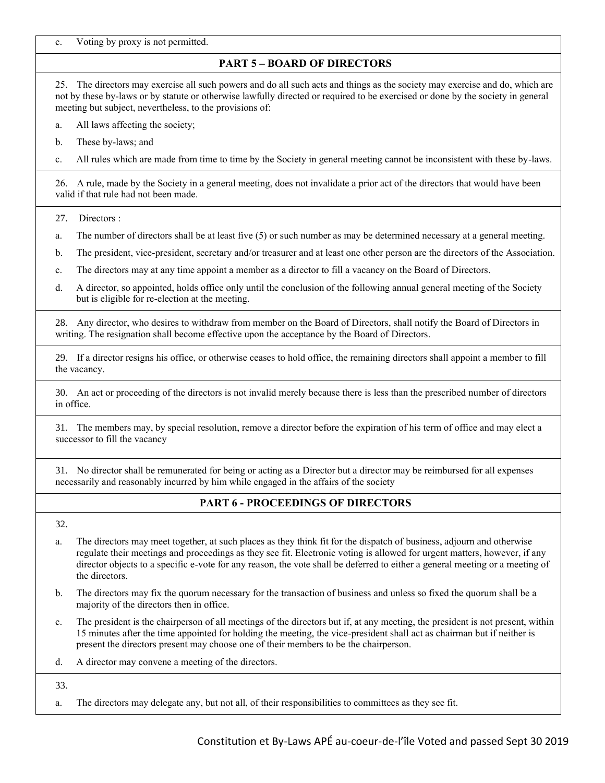c. Voting by proxy is not permitted.

# **PART 5 – BOARD OF DIRECTORS**

25. The directors may exercise all such powers and do all such acts and things as the society may exercise and do, which are not by these by-laws or by statute or otherwise lawfully directed or required to be exercised or done by the society in general meeting but subject, nevertheless, to the provisions of:

a. All laws affecting the society;

b. These by-laws; and

c. All rules which are made from time to time by the Society in general meeting cannot be inconsistent with these by-laws.

26. A rule, made by the Society in a general meeting, does not invalidate a prior act of the directors that would have been valid if that rule had not been made.

27. Directors :

a. The number of directors shall be at least five (5) or such number as may be determined necessary at a general meeting.

b. The president, vice-president, secretary and/or treasurer and at least one other person are the directors of the Association.

c. The directors may at any time appoint a member as a director to fill a vacancy on the Board of Directors.

d. A director, so appointed, holds office only until the conclusion of the following annual general meeting of the Society but is eligible for re-election at the meeting.

28. Any director, who desires to withdraw from member on the Board of Directors, shall notify the Board of Directors in writing. The resignation shall become effective upon the acceptance by the Board of Directors.

29. If a director resigns his office, or otherwise ceases to hold office, the remaining directors shall appoint a member to fill the vacancy.

30. An act or proceeding of the directors is not invalid merely because there is less than the prescribed number of directors in office.

31. The members may, by special resolution, remove a director before the expiration of his term of office and may elect a successor to fill the vacancy

31. No director shall be remunerated for being or acting as a Director but a director may be reimbursed for all expenses necessarily and reasonably incurred by him while engaged in the affairs of the society

# **PART 6 - PROCEEDINGS OF DIRECTORS**

32.

- a. The directors may meet together, at such places as they think fit for the dispatch of business, adjourn and otherwise regulate their meetings and proceedings as they see fit. Electronic voting is allowed for urgent matters, however, if any director objects to a specific e-vote for any reason, the vote shall be deferred to either a general meeting or a meeting of the directors.
- b. The directors may fix the quorum necessary for the transaction of business and unless so fixed the quorum shall be a majority of the directors then in office.
- c. The president is the chairperson of all meetings of the directors but if, at any meeting, the president is not present, within 15 minutes after the time appointed for holding the meeting, the vice-president shall act as chairman but if neither is present the directors present may choose one of their members to be the chairperson.
- d. A director may convene a meeting of the directors.

33.

a. The directors may delegate any, but not all, of their responsibilities to committees as they see fit.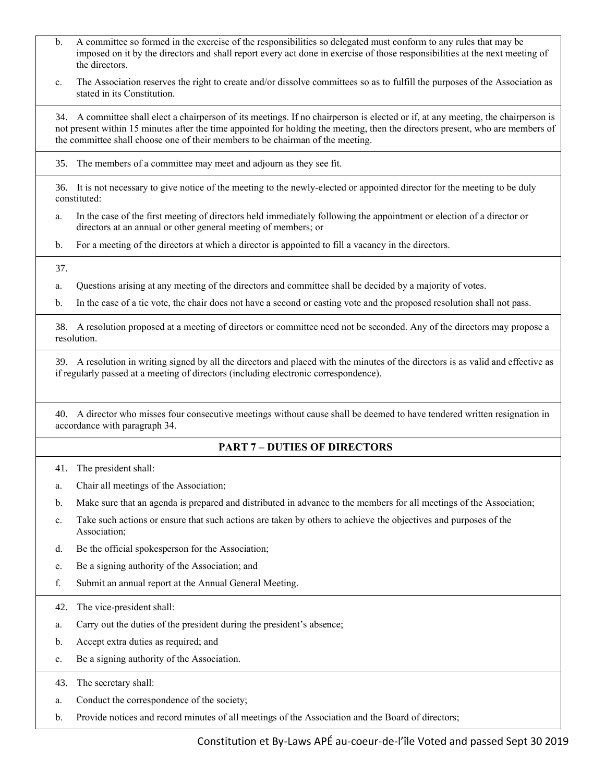- b. A committee so formed in the exercise of the responsibilities so delegated must conform to any rules that may be imposed on it by the directors and shall report every act done in exercise of those responsibilities at the next meeting of the directors.
- c. The Association reserves the right to create and/or dissolve committees so as to fulfill the purposes of the Association as stated in its Constitution.

34. A committee shall elect a chairperson of its meetings. If no chairperson is elected or if, at any meeting, the chairperson is not present within 15 minutes after the time appointed for holding the meeting, then the directors present, who are members of the committee shall choose one of their members to be chairman of the meeting.

35. The members of a committee may meet and adjourn as they see fit.

36. It is not necessary to give notice of the meeting to the newly-elected or appointed director for the meeting to be duly constituted:

- a. In the case of the first meeting of directors held immediately following the appointment or election of a director or directors at an annual or other general meeting of members; or
- b. For a meeting of the directors at which a director is appointed to fill a vacancy in the directors.

37.

a. Questions arising at any meeting of the directors and committee shall be decided by a majority of votes.

b. In the case of a tie vote, the chair does not have a second or casting vote and the proposed resolution shall not pass.

38. A resolution proposed at a meeting of directors or committee need not be seconded. Any of the directors may propose a resolution.

39. A resolution in writing signed by all the directors and placed with the minutes of the directors is as valid and effective as if regularly passed at a meeting of directors (including electronic correspondence).

40. A director who misses four consecutive meetings without cause shall be deemed to have tendered written resignation in accordance with paragraph 34.

#### **PART 7 – DUTIES OF DIRECTORS**

41. The president shall:

- a. Chair all meetings of the Association;
- b. Make sure that an agenda is prepared and distributed in advance to the members for all meetings of the Association;
- c. Take such actions or ensure that such actions are taken by others to achieve the objectives and purposes of the Association;
- d. Be the official spokesperson for the Association;
- e. Be a signing authority of the Association; and
- f. Submit an annual report at the Annual General Meeting.

42. The vice-president shall:

- a. Carry out the duties of the president during the president's absence;
- b. Accept extra duties as required; and
- c. Be a signing authority of the Association.

43. The secretary shall:

- a. Conduct the correspondence of the society;
- b. Provide notices and record minutes of all meetings of the Association and the Board of directors;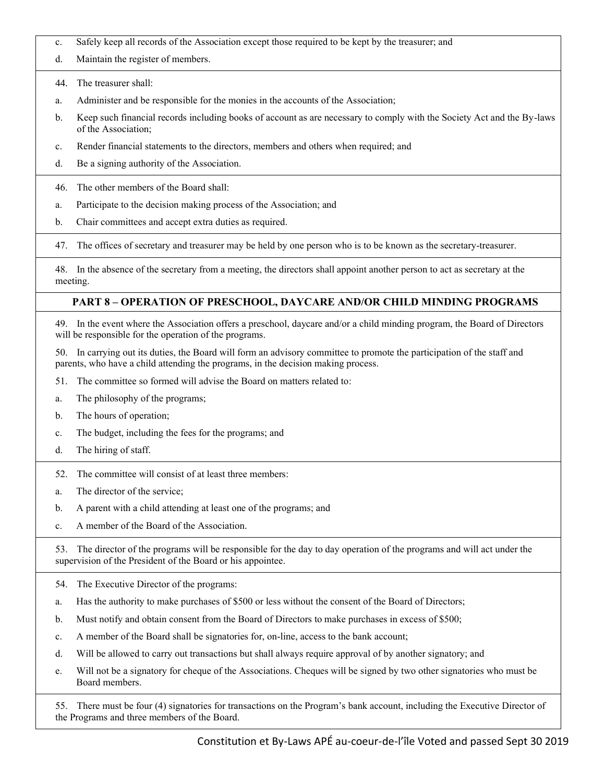- c. Safely keep all records of the Association except those required to be kept by the treasurer; and
- d. Maintain the register of members.
- 44. The treasurer shall:
- a. Administer and be responsible for the monies in the accounts of the Association;
- b. Keep such financial records including books of account as are necessary to comply with the Society Act and the By-laws of the Association;
- c. Render financial statements to the directors, members and others when required; and
- d. Be a signing authority of the Association.
- 46. The other members of the Board shall:
- a. Participate to the decision making process of the Association; and
- b. Chair committees and accept extra duties as required.

47. The offices of secretary and treasurer may be held by one person who is to be known as the secretary-treasurer.

48. In the absence of the secretary from a meeting, the directors shall appoint another person to act as secretary at the meeting.

# **PART 8 – OPERATION OF PRESCHOOL, DAYCARE AND/OR CHILD MINDING PROGRAMS**

49. In the event where the Association offers a preschool, daycare and/or a child minding program, the Board of Directors will be responsible for the operation of the programs.

50. In carrying out its duties, the Board will form an advisory committee to promote the participation of the staff and parents, who have a child attending the programs, in the decision making process.

- 51. The committee so formed will advise the Board on matters related to:
- a. The philosophy of the programs;
- b. The hours of operation;
- c. The budget, including the fees for the programs; and
- d. The hiring of staff.
- 52. The committee will consist of at least three members:
- a. The director of the service;
- b. A parent with a child attending at least one of the programs; and
- c. A member of the Board of the Association.

53. The director of the programs will be responsible for the day to day operation of the programs and will act under the supervision of the President of the Board or his appointee.

- 54. The Executive Director of the programs:
- a. Has the authority to make purchases of \$500 or less without the consent of the Board of Directors;
- b. Must notify and obtain consent from the Board of Directors to make purchases in excess of \$500;
- c. A member of the Board shall be signatories for, on-line, access to the bank account;
- d. Will be allowed to carry out transactions but shall always require approval of by another signatory; and
- e. Will not be a signatory for cheque of the Associations. Cheques will be signed by two other signatories who must be Board members.

55. There must be four (4) signatories for transactions on the Program's bank account, including the Executive Director of the Programs and three members of the Board.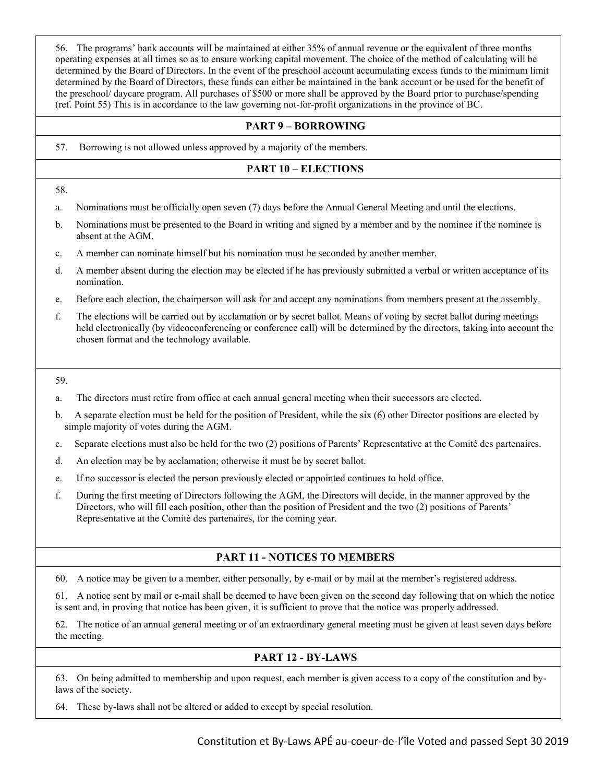56. The programs' bank accounts will be maintained at either 35% of annual revenue or the equivalent of three months operating expenses at all times so as to ensure working capital movement. The choice of the method of calculating will be determined by the Board of Directors. In the event of the preschool account accumulating excess funds to the minimum limit determined by the Board of Directors, these funds can either be maintained in the bank account or be used for the benefit of the preschool/ daycare program. All purchases of \$500 or more shall be approved by the Board prior to purchase/spending (ref. Point 55) This is in accordance to the law governing not-for-profit organizations in the province of BC.

### **PART 9 – BORROWING**

57. Borrowing is not allowed unless approved by a majority of the members.

### **PART 10 – ELECTIONS**

- 58.
- a. Nominations must be officially open seven (7) days before the Annual General Meeting and until the elections.
- b. Nominations must be presented to the Board in writing and signed by a member and by the nominee if the nominee is absent at the AGM.
- c. A member can nominate himself but his nomination must be seconded by another member.
- d. A member absent during the election may be elected if he has previously submitted a verbal or written acceptance of its nomination.
- e. Before each election, the chairperson will ask for and accept any nominations from members present at the assembly.
- f. The elections will be carried out by acclamation or by secret ballot. Means of voting by secret ballot during meetings held electronically (by videoconferencing or conference call) will be determined by the directors, taking into account the chosen format and the technology available.

59.

- a. The directors must retire from office at each annual general meeting when their successors are elected.
- b. A separate election must be held for the position of President, while the six (6) other Director positions are elected by simple majority of votes during the AGM.
- c. Separate elections must also be held for the two (2) positions of Parents' Representative at the Comité des partenaires.
- d. An election may be by acclamation; otherwise it must be by secret ballot.
- e. If no successor is elected the person previously elected or appointed continues to hold office.
- f. During the first meeting of Directors following the AGM, the Directors will decide, in the manner approved by the Directors, who will fill each position, other than the position of President and the two (2) positions of Parents' Representative at the Comité des partenaires, for the coming year.

### **PART 11 - NOTICES TO MEMBERS**

60. A notice may be given to a member, either personally, by e-mail or by mail at the member's registered address.

61. A notice sent by mail or e-mail shall be deemed to have been given on the second day following that on which the notice is sent and, in proving that notice has been given, it is sufficient to prove that the notice was properly addressed.

62. The notice of an annual general meeting or of an extraordinary general meeting must be given at least seven days before the meeting.

### **PART 12 - BY-LAWS**

63. On being admitted to membership and upon request, each member is given access to a copy of the constitution and bylaws of the society.

64. These by-laws shall not be altered or added to except by special resolution.